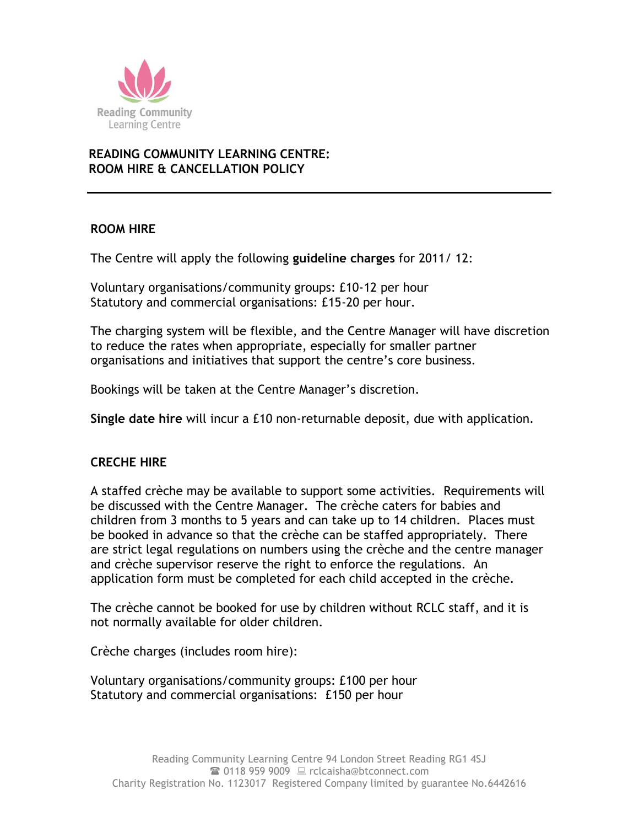

## **READING COMMUNITY LEARNING CENTRE: ROOM HIRE & CANCELLATION POLICY**

### **ROOM HIRE**

The Centre will apply the following **guideline charges** for 2011/ 12:

Voluntary organisations/community groups: £10-12 per hour Statutory and commercial organisations: £15-20 per hour.

The charging system will be flexible, and the Centre Manager will have discretion to reduce the rates when appropriate, especially for smaller partner organisations and initiatives that support the centre's core business.

Bookings will be taken at the Centre Manager's discretion.

**Single date hire** will incur a £10 non-returnable deposit, due with application.

### **CRECHE HIRE**

A staffed crèche may be available to support some activities. Requirements will be discussed with the Centre Manager. The crèche caters for babies and children from 3 months to 5 years and can take up to 14 children. Places must be booked in advance so that the crèche can be staffed appropriately. There are strict legal regulations on numbers using the crèche and the centre manager and crèche supervisor reserve the right to enforce the regulations. An application form must be completed for each child accepted in the crèche.

The crèche cannot be booked for use by children without RCLC staff, and it is not normally available for older children.

Crèche charges (includes room hire):

Voluntary organisations/community groups: £100 per hour Statutory and commercial organisations: £150 per hour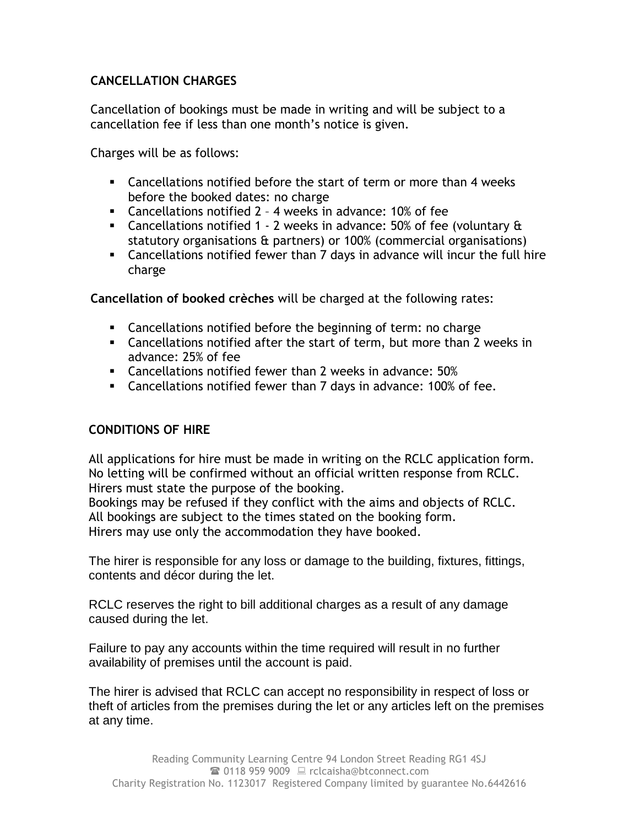# **CANCELLATION CHARGES**

Cancellation of bookings must be made in writing and will be subject to a cancellation fee if less than one month's notice is given.

Charges will be as follows:

- Cancellations notified before the start of term or more than 4 weeks before the booked dates: no charge
- Cancellations notified 2 4 weeks in advance: 10% of fee
- Cancellations notified 1 2 weeks in advance:  $50\%$  of fee (voluntary  $\alpha$ statutory organisations & partners) or 100% (commercial organisations)
- Cancellations notified fewer than 7 days in advance will incur the full hire charge

**Cancellation of booked crèches** will be charged at the following rates:

- Cancellations notified before the beginning of term: no charge
- Cancellations notified after the start of term, but more than 2 weeks in advance: 25% of fee
- Cancellations notified fewer than 2 weeks in advance: 50%
- Cancellations notified fewer than 7 days in advance: 100% of fee.

## **CONDITIONS OF HIRE**

All applications for hire must be made in writing on the RCLC application form. No letting will be confirmed without an official written response from RCLC. Hirers must state the purpose of the booking.

Bookings may be refused if they conflict with the aims and objects of RCLC. All bookings are subject to the times stated on the booking form. Hirers may use only the accommodation they have booked.

The hirer is responsible for any loss or damage to the building, fixtures, fittings, contents and décor during the let.

RCLC reserves the right to bill additional charges as a result of any damage caused during the let.

Failure to pay any accounts within the time required will result in no further availability of premises until the account is paid.

The hirer is advised that RCLC can accept no responsibility in respect of loss or theft of articles from the premises during the let or any articles left on the premises at any time.